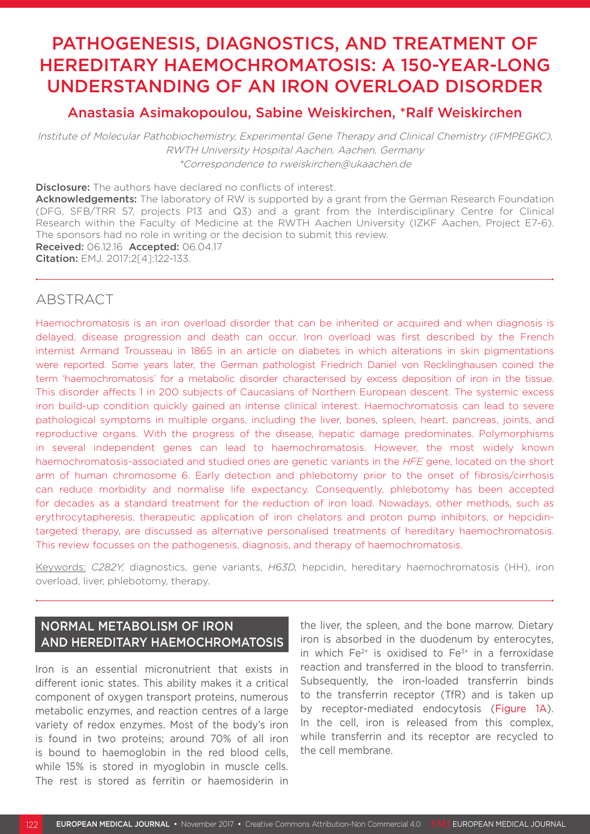# PATHOGENESIS, DIAGNOSTICS, AND TREATMENT OF HEREDITARY HAEMOCHROMATOSIS: A 150-YEAR-LONG UNDERSTANDING OF AN IRON OVERLOAD DISORDER

# Anastasia Asimakopoulou, Sabine Weiskirchen, \*Ralf Weiskirchen

Institute of Molecular Pathobiochemistry, Experimental Gene Therapy and Clinical Chemistry (IFMPEGKC), RWTH University Hospital Aachen, Aachen, Germany \*Correspondence to rweiskirchen@ukaachen.de

Disclosure: The authors have declared no conflicts of interest.

Acknowledgements: The laboratory of RW is supported by a grant from the German Research Foundation (DFG, SFB/TRR 57, projects P13 and Q3) and a grant from the Interdisciplinary Centre for Clinical Research within the Faculty of Medicine at the RWTH Aachen University (IZKF Aachen, Project E7-6). The sponsors had no role in writing or the decision to submit this review. Received: 06.12.16 Accepted: 06.04.17

Citation: EMJ. 2017;2[4]:122-133.

# ABSTRACT

Haemochromatosis is an iron overload disorder that can be inherited or acquired and when diagnosis is delayed, disease progression and death can occur. Iron overload was first described by the French internist Armand Trousseau in 1865 in an article on diabetes in which alterations in skin pigmentations were reported. Some years later, the German pathologist Friedrich Daniel von Recklinghausen coined the term 'haemochromatosis' for a metabolic disorder characterised by excess deposition of iron in the tissue. This disorder affects 1 in 200 subjects of Caucasians of Northern European descent. The systemic excess iron build-up condition quickly gained an intense clinical interest. Haemochromatosis can lead to severe pathological symptoms in multiple organs, including the liver, bones, spleen, heart, pancreas, joints, and reproductive organs. With the progress of the disease, hepatic damage predominates. Polymorphisms in several independent genes can lead to haemochromatosis. However, the most widely known haemochromatosis-associated and studied ones are genetic variants in the *HFE* gene, located on the short arm of human chromosome 6. Early detection and phlebotomy prior to the onset of fibrosis/cirrhosis can reduce morbidity and normalise life expectancy. Consequently, phlebotomy has been accepted for decades as a standard treatment for the reduction of iron load. Nowadays, other methods, such as erythrocytapheresis, therapeutic application of iron chelators and proton pump inhibitors, or hepcidintargeted therapy, are discussed as alternative personalised treatments of hereditary haemochromatosis. This review focusses on the pathogenesis, diagnosis, and therapy of haemochromatosis.

Keywords: *C282Y,* diagnostics, gene variants, *H63D,* hepcidin, hereditary haemochromatosis (HH), iron overload, liver, phlebotomy, therapy.

# NORMAL METABOLISM OF IRON AND HEREDITARY HAEMOCHROMATOSIS

Iron is an essential micronutrient that exists in different ionic states. This ability makes it a critical component of oxygen transport proteins, numerous metabolic enzymes, and reaction centres of a large variety of redox enzymes. Most of the body's iron is found in two proteins; around 70% of all iron is bound to haemoglobin in the red blood cells, while 15% is stored in myoglobin in muscle cells. The rest is stored as ferritin or haemosiderin in

the liver, the spleen, and the bone marrow. Dietary iron is absorbed in the duodenum by enterocytes, in which  $Fe^{2+}$  is oxidised to  $Fe^{3+}$  in a ferroxidase reaction and transferred in the blood to transferrin. Subsequently, the iron-loaded transferrin binds to the transferrin receptor (TfR) and is taken up by receptor-mediated endocytosis (Figure 1A). In the cell, iron is released from this complex, while transferrin and its receptor are recycled to the cell membrane.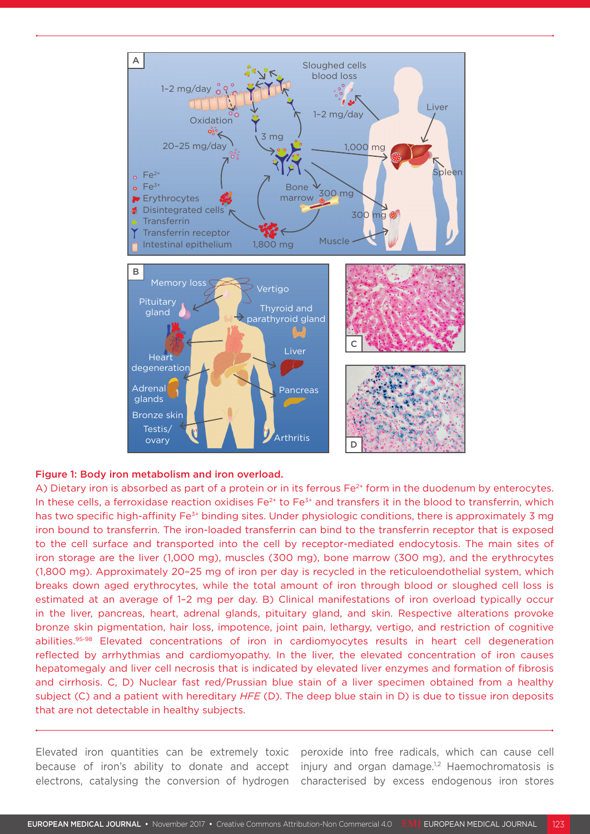

#### Figure 1: Body iron metabolism and iron overload.

A) Dietary iron is absorbed as part of a protein or in its ferrous Fe<sup>2+</sup> form in the duodenum by enterocytes. In these cells, a ferroxidase reaction oxidises  $Fe^{2+}$  to  $Fe^{3+}$  and transfers it in the blood to transferrin, which has two specific high-affinity Fe<sup>3+</sup> binding sites. Under physiologic conditions, there is approximately 3 mg iron bound to transferrin. The iron-loaded transferrin can bind to the transferrin receptor that is exposed to the cell surface and transported into the cell by receptor-mediated endocytosis. The main sites of iron storage are the liver (1,000 mg), muscles (300 mg), bone marrow (300 mg), and the erythrocytes (1,800 mg). Approximately 20–25 mg of iron per day is recycled in the reticuloendothelial system, which breaks down aged erythrocytes, while the total amount of iron through blood or sloughed cell loss is estimated at an average of 1–2 mg per day. B) Clinical manifestations of iron overload typically occur in the liver, pancreas, heart, adrenal glands, pituitary gland, and skin. Respective alterations provoke bronze skin pigmentation, hair loss, impotence, joint pain, lethargy, vertigo, and restriction of cognitive abilities.95-98 Elevated concentrations of iron in cardiomyocytes results in heart cell degeneration reflected by arrhythmias and cardiomyopathy. In the liver, the elevated concentration of iron causes hepatomegaly and liver cell necrosis that is indicated by elevated liver enzymes and formation of fibrosis and cirrhosis. C, D) Nuclear fast red/Prussian blue stain of a liver specimen obtained from a healthy subject (C) and a patient with hereditary *HFE* (D). The deep blue stain in D) is due to tissue iron deposits that are not detectable in healthy subjects.

Elevated iron quantities can be extremely toxic because of iron's ability to donate and accept electrons, catalysing the conversion of hydrogen

peroxide into free radicals, which can cause cell injury and organ damage.<sup>1,2</sup> Haemochromatosis is characterised by excess endogenous iron stores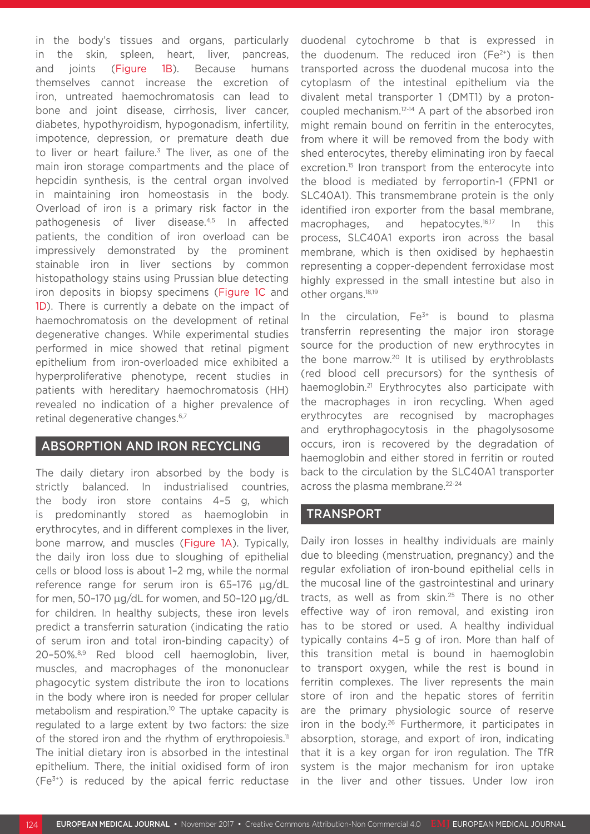in the body's tissues and organs, particularly in the skin, spleen, heart, liver, pancreas, and joints (Figure 1B). Because humans themselves cannot increase the excretion of iron, untreated haemochromatosis can lead to bone and joint disease, cirrhosis, liver cancer, diabetes, hypothyroidism, hypogonadism, infertility, impotence, depression, or premature death due to liver or heart failure.<sup>3</sup> The liver, as one of the main iron storage compartments and the place of hepcidin synthesis, is the central organ involved in maintaining iron homeostasis in the body. Overload of iron is a primary risk factor in the pathogenesis of liver disease.4,5 In affected patients, the condition of iron overload can be impressively demonstrated by the prominent stainable iron in liver sections by common histopathology stains using Prussian blue detecting iron deposits in biopsy specimens (Figure 1C and 1D). There is currently a debate on the impact of haemochromatosis on the development of retinal degenerative changes. While experimental studies performed in mice showed that retinal pigment epithelium from iron-overloaded mice exhibited a hyperproliferative phenotype, recent studies in patients with hereditary haemochromatosis (HH) revealed no indication of a higher prevalence of retinal degenerative changes.6,7

### ABSORPTION AND IRON RECYCLING

The daily dietary iron absorbed by the body is strictly balanced. In industrialised countries, the body iron store contains 4–5 g, which is predominantly stored as haemoglobin in erythrocytes, and in different complexes in the liver, bone marrow, and muscles (Figure 1A). Typically, the daily iron loss due to sloughing of epithelial cells or blood loss is about 1–2 mg, while the normal reference range for serum iron is 65–176 μg/dL for men, 50–170 μg/dL for women, and 50–120 μg/dL for children. In healthy subjects, these iron levels predict a transferrin saturation (indicating the ratio of serum iron and total iron-binding capacity) of 20–50%.8,9 Red blood cell haemoglobin, liver, muscles, and macrophages of the mononuclear phagocytic system distribute the iron to locations in the body where iron is needed for proper cellular metabolism and respiration.<sup>10</sup> The uptake capacity is regulated to a large extent by two factors: the size of the stored iron and the rhythm of erythropoiesis.<sup>11</sup> The initial dietary iron is absorbed in the intestinal epithelium. There, the initial oxidised form of iron  $(Fe<sup>3+</sup>)$  is reduced by the apical ferric reductase

duodenal cytochrome b that is expressed in the duodenum. The reduced iron  $(Fe^{2+})$  is then transported across the duodenal mucosa into the cytoplasm of the intestinal epithelium via the divalent metal transporter 1 (DMT1) by a protoncoupled mechanism.12-14 A part of the absorbed iron might remain bound on ferritin in the enterocytes, from where it will be removed from the body with shed enterocytes, thereby eliminating iron by faecal excretion.<sup>15</sup> Iron transport from the enterocyte into the blood is mediated by ferroportin-1 (FPN1 or SLC40A1). This transmembrane protein is the only identified iron exporter from the basal membrane, macrophages, and hepatocytes.<sup>16,17</sup> In this process, SLC40A1 exports iron across the basal membrane, which is then oxidised by hephaestin representing a copper-dependent ferroxidase most highly expressed in the small intestine but also in other organs.18,19

In the circulation,  $Fe<sup>3+</sup>$  is bound to plasma transferrin representing the major iron storage source for the production of new erythrocytes in the bone marrow.<sup>20</sup> It is utilised by erythroblasts (red blood cell precursors) for the synthesis of haemoglobin.<sup>21</sup> Erythrocytes also participate with the macrophages in iron recycling. When aged erythrocytes are recognised by macrophages and erythrophagocytosis in the phagolysosome occurs, iron is recovered by the degradation of haemoglobin and either stored in ferritin or routed back to the circulation by the SLC40A1 transporter across the plasma membrane.<sup>22-24</sup>

### TRANSPORT

Daily iron losses in healthy individuals are mainly due to bleeding (menstruation, pregnancy) and the regular exfoliation of iron-bound epithelial cells in the mucosal line of the gastrointestinal and urinary tracts, as well as from skin. $25$  There is no other effective way of iron removal, and existing iron has to be stored or used. A healthy individual typically contains 4–5 g of iron. More than half of this transition metal is bound in haemoglobin to transport oxygen, while the rest is bound in ferritin complexes. The liver represents the main store of iron and the hepatic stores of ferritin are the primary physiologic source of reserve iron in the body.26 Furthermore, it participates in absorption, storage, and export of iron, indicating that it is a key organ for iron regulation. The TfR system is the major mechanism for iron uptake in the liver and other tissues. Under low iron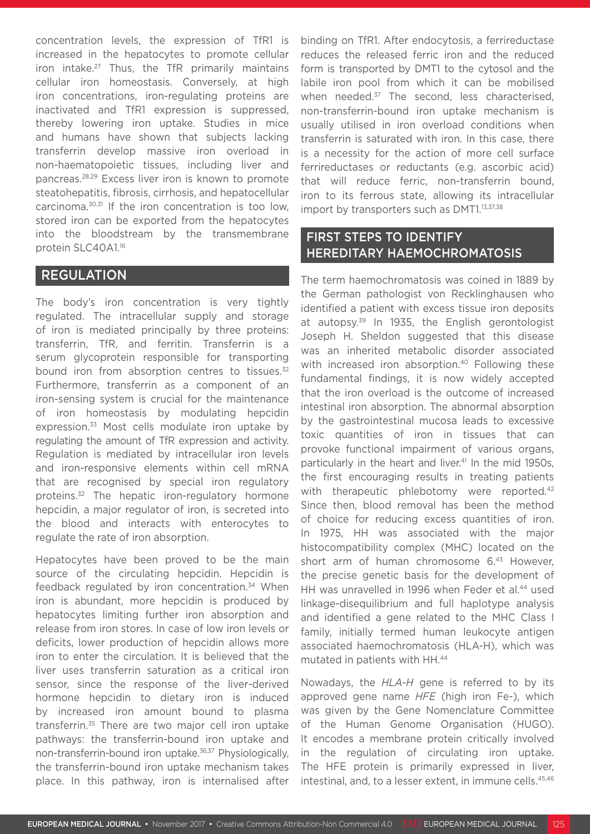concentration levels, the expression of TfR1 is increased in the hepatocytes to promote cellular iron intake.<sup>27</sup> Thus, the TfR primarily maintains cellular iron homeostasis. Conversely, at high iron concentrations, iron-regulating proteins are inactivated and TfR1 expression is suppressed, thereby lowering iron uptake. Studies in mice and humans have shown that subjects lacking transferrin develop massive iron overload in non-haematopoietic tissues, including liver and pancreas.28,29 Excess liver iron is known to promote steatohepatitis, fibrosis, cirrhosis, and hepatocellular carcinoma.30,31 If the iron concentration is too low, stored iron can be exported from the hepatocytes into the bloodstream by the transmembrane protein SLC40A1.16

## REGULATION

The body's iron concentration is very tightly regulated. The intracellular supply and storage of iron is mediated principally by three proteins: transferrin, TfR, and ferritin. Transferrin is a serum glycoprotein responsible for transporting bound iron from absorption centres to tissues.<sup>32</sup> Furthermore, transferrin as a component of an iron-sensing system is crucial for the maintenance of iron homeostasis by modulating hepcidin expression.<sup>33</sup> Most cells modulate iron uptake by regulating the amount of TfR expression and activity. Regulation is mediated by intracellular iron levels and iron-responsive elements within cell mRNA that are recognised by special iron regulatory proteins.<sup>32</sup> The hepatic iron-regulatory hormone hepcidin, a major regulator of iron, is secreted into the blood and interacts with enterocytes to regulate the rate of iron absorption.

Hepatocytes have been proved to be the main source of the circulating hepcidin. Hepcidin is feedback regulated by iron concentration.<sup>34</sup> When iron is abundant, more hepcidin is produced by hepatocytes limiting further iron absorption and release from iron stores. In case of low iron levels or deficits, lower production of hepcidin allows more iron to enter the circulation. It is believed that the liver uses transferrin saturation as a critical iron sensor, since the response of the liver-derived hormone hepcidin to dietary iron is induced by increased iron amount bound to plasma transferrin.35 There are two major cell iron uptake pathways: the transferrin-bound iron uptake and non-transferrin-bound iron uptake.36,37 Physiologically, the transferrin-bound iron uptake mechanism takes place. In this pathway, iron is internalised after

binding on TfR1. After endocytosis, a ferrireductase reduces the released ferric iron and the reduced form is transported by DMT1 to the cytosol and the labile iron pool from which it can be mobilised when needed.<sup>37</sup> The second, less characterised, non-transferrin-bound iron uptake mechanism is usually utilised in iron overload conditions when transferrin is saturated with iron. In this case, there is a necessity for the action of more cell surface ferrireductases or reductants (e.g. ascorbic acid) that will reduce ferric, non-transferrin bound, iron to its ferrous state, allowing its intracellular import by transporters such as DMT1.<sup>13,37,38</sup>

# FIRST STEPS TO IDENTIFY HEREDITARY HAEMOCHROMATOSIS

The term haemochromatosis was coined in 1889 by the German pathologist von Recklinghausen who identified a patient with excess tissue iron deposits at autopsy.39 In 1935, the English gerontologist Joseph H. Sheldon suggested that this disease was an inherited metabolic disorder associated with increased iron absorption.<sup>40</sup> Following these fundamental findings, it is now widely accepted that the iron overload is the outcome of increased intestinal iron absorption. The abnormal absorption by the gastrointestinal mucosa leads to excessive toxic quantities of iron in tissues that can provoke functional impairment of various organs, particularly in the heart and liver.<sup>41</sup> In the mid 1950s, the first encouraging results in treating patients with therapeutic phlebotomy were reported.<sup>42</sup> Since then, blood removal has been the method of choice for reducing excess quantities of iron. In 1975, HH was associated with the major histocompatibility complex (MHC) located on the short arm of human chromosome 6.<sup>43</sup> However. the precise genetic basis for the development of HH was unravelled in 1996 when Feder et al.<sup>44</sup> used linkage-disequilibrium and full haplotype analysis and identified a gene related to the MHC Class I family, initially termed human leukocyte antigen associated haemochromatosis (HLA-H), which was mutated in patients with HH.44

Nowadays, the *HLA-H* gene is referred to by its approved gene name *HFE* (high iron Fe-), which was given by the Gene Nomenclature Committee of the Human Genome Organisation (HUGO). It encodes a membrane protein critically involved in the regulation of circulating iron uptake. The HFE protein is primarily expressed in liver, intestinal, and, to a lesser extent, in immune cells.<sup>45,46</sup>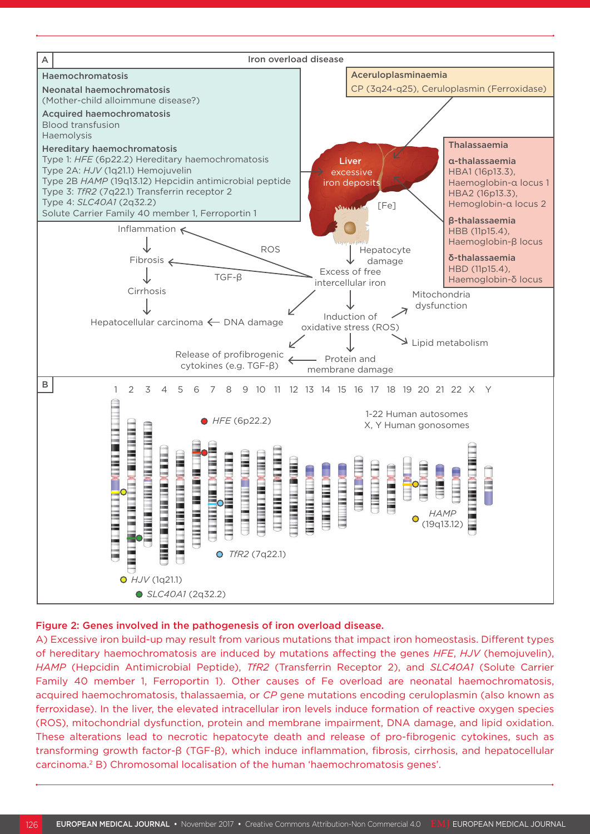

#### Figure 2: Genes involved in the pathogenesis of iron overload disease.

A) Excessive iron build-up may result from various mutations that impact iron homeostasis. Different types of hereditary haemochromatosis are induced by mutations affecting the genes *HFE*, *HJV* (hemojuvelin), *HAMP* (Hepcidin Antimicrobial Peptide), *TfR2* (Transferrin Receptor 2), and *SLC40A1* (Solute Carrier Family 40 member 1, Ferroportin 1). Other causes of Fe overload are neonatal haemochromatosis, acquired haemochromatosis, thalassaemia, or *CP* gene mutations encoding ceruloplasmin (also known as ferroxidase). In the liver, the elevated intracellular iron levels induce formation of reactive oxygen species (ROS), mitochondrial dysfunction, protein and membrane impairment, DNA damage, and lipid oxidation. These alterations lead to necrotic hepatocyte death and release of pro-fibrogenic cytokines, such as transforming growth factor-β (TGF-β), which induce inflammation, fibrosis, cirrhosis, and hepatocellular carcinoma.2 B) Chromosomal localisation of the human 'haemochromatosis genes'.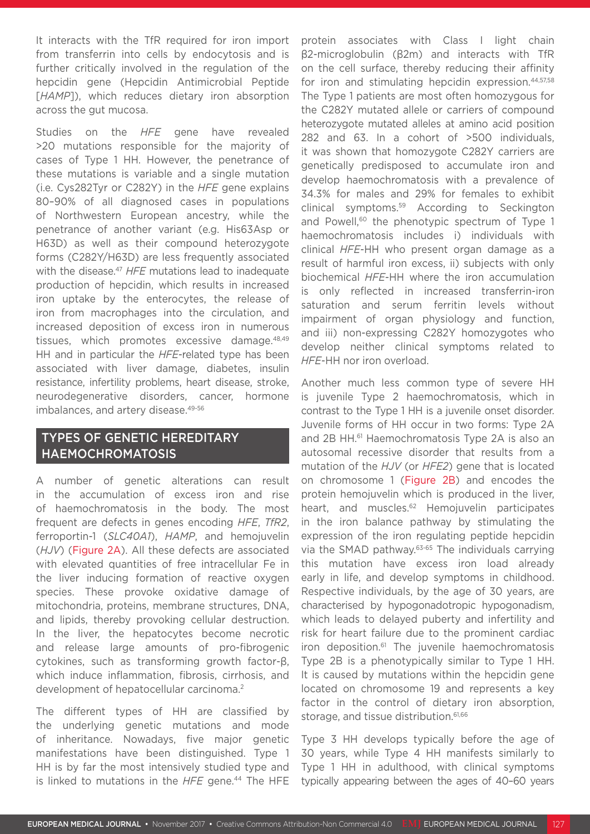It interacts with the TfR required for iron import from transferrin into cells by endocytosis and is further critically involved in the regulation of the hepcidin gene (Hepcidin Antimicrobial Peptide [*HAMP*]), which reduces dietary iron absorption across the gut mucosa.

Studies on the *HFE* gene have revealed >20 mutations responsible for the majority of cases of Type 1 HH. However, the penetrance of these mutations is variable and a single mutation (i.e. Cys282Tyr or C282Y) in the *HFE* gene explains 80–90% of all diagnosed cases in populations of Northwestern European ancestry, while the penetrance of another variant (e.g. His63Asp or H63D) as well as their compound heterozygote forms (C282Y/H63D) are less frequently associated with the disease.<sup>47</sup> HFE mutations lead to inadequate production of hepcidin, which results in increased iron uptake by the enterocytes, the release of iron from macrophages into the circulation, and increased deposition of excess iron in numerous tissues, which promotes excessive damage.<sup>48,49</sup> HH and in particular the *HFE*-related type has been associated with liver damage, diabetes, insulin resistance, infertility problems, heart disease, stroke, neurodegenerative disorders, cancer, hormone imbalances, and artery disease.<sup>49-56</sup>

### TYPES OF GENETIC HEREDITARY HAEMOCHROMATOSIS

A number of genetic alterations can result in the accumulation of excess iron and rise of haemochromatosis in the body. The most frequent are defects in genes encoding *HFE*, *TfR2*, ferroportin-1 (*SLC40A1*), *HAMP*, and hemojuvelin (*HJV*) (Figure 2A). All these defects are associated with elevated quantities of free intracellular Fe in the liver inducing formation of reactive oxygen species. These provoke oxidative damage of mitochondria, proteins, membrane structures, DNA, and lipids, thereby provoking cellular destruction. In the liver, the hepatocytes become necrotic and release large amounts of pro-fibrogenic cytokines, such as transforming growth factor-β, which induce inflammation, fibrosis, cirrhosis, and development of hepatocellular carcinoma.<sup>2</sup>

The different types of HH are classified by the underlying genetic mutations and mode of inheritance. Nowadays, five major genetic manifestations have been distinguished. Type 1 HH is by far the most intensively studied type and is linked to mutations in the *HFE* gene.<sup>44</sup> The HFE

protein associates with Class I light chain β2-microglobulin (β2m) and interacts with TfR on the cell surface, thereby reducing their affinity for iron and stimulating hepcidin expression.<sup>44,57,58</sup> The Type 1 patients are most often homozygous for the C282Y mutated allele or carriers of compound heterozygote mutated alleles at amino acid position 282 and 63. In a cohort of >500 individuals, it was shown that homozygote C282Y carriers are genetically predisposed to accumulate iron and develop haemochromatosis with a prevalence of 34.3% for males and 29% for females to exhibit clinical symptoms.59 According to Seckington and Powell,<sup>60</sup> the phenotypic spectrum of Type 1 haemochromatosis includes i) individuals with clinical *HFE*-HH who present organ damage as a result of harmful iron excess, ii) subjects with only biochemical *HFE*-HH where the iron accumulation is only reflected in increased transferrin-iron saturation and serum ferritin levels without impairment of organ physiology and function, and iii) non-expressing C282Y homozygotes who develop neither clinical symptoms related to *HFE*-HH nor iron overload.

Another much less common type of severe HH is juvenile Type 2 haemochromatosis, which in contrast to the Type 1 HH is a juvenile onset disorder. Juvenile forms of HH occur in two forms: Type 2A and 2B HH.<sup>61</sup> Haemochromatosis Type 2A is also an autosomal recessive disorder that results from a mutation of the *HJV* (or *HFE2*) gene that is located on chromosome 1 (Figure 2B) and encodes the protein hemojuvelin which is produced in the liver, heart, and muscles.<sup>62</sup> Hemojuvelin participates in the iron balance pathway by stimulating the expression of the iron regulating peptide hepcidin via the SMAD pathway.63-65 The individuals carrying this mutation have excess iron load already early in life, and develop symptoms in childhood. Respective individuals, by the age of 30 years, are characterised by hypogonadotropic hypogonadism, which leads to delayed puberty and infertility and risk for heart failure due to the prominent cardiac iron deposition.61 The juvenile haemochromatosis Type 2B is a phenotypically similar to Type 1 HH. It is caused by mutations within the hepcidin gene located on chromosome 19 and represents a key factor in the control of dietary iron absorption, storage, and tissue distribution.<sup>61,66</sup>

Type 3 HH develops typically before the age of 30 years, while Type 4 HH manifests similarly to Type 1 HH in adulthood, with clinical symptoms typically appearing between the ages of 40–60 years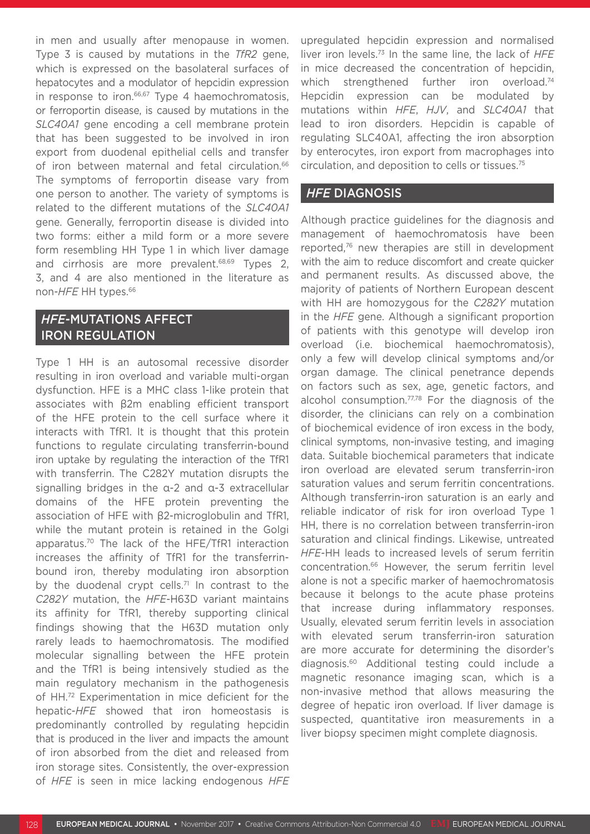in men and usually after menopause in women. Type 3 is caused by mutations in the *TfR2* gene, which is expressed on the basolateral surfaces of hepatocytes and a modulator of hepcidin expression in response to iron.<sup>66,67</sup> Type 4 haemochromatosis, or ferroportin disease, is caused by mutations in the *SLC40A1* gene encoding a cell membrane protein that has been suggested to be involved in iron export from duodenal epithelial cells and transfer of iron between maternal and fetal circulation.<sup>66</sup> The symptoms of ferroportin disease vary from one person to another. The variety of symptoms is related to the different mutations of the *SLC40A1* gene. Generally, ferroportin disease is divided into two forms: either a mild form or a more severe form resembling HH Type 1 in which liver damage and cirrhosis are more prevalent.<sup>68,69</sup> Types 2, 3, and 4 are also mentioned in the literature as non-*HFE* HH types.66

# *HFE*-MUTATIONS AFFECT IRON REGULATION

Type 1 HH is an autosomal recessive disorder resulting in iron overload and variable multi-organ dysfunction. HFE is a MHC class 1-like protein that associates with β2m enabling efficient transport of the HFE protein to the cell surface where it interacts with TfR1. It is thought that this protein functions to regulate circulating transferrin-bound iron uptake by regulating the interaction of the TfR1 with transferrin. The C282Y mutation disrupts the signalling bridges in the α-2 and α-3 extracellular domains of the HFE protein preventing the association of HFE with β2-microglobulin and TfR1, while the mutant protein is retained in the Golgi apparatus.70 The lack of the HFE/TfR1 interaction increases the affinity of TfR1 for the transferrinbound iron, thereby modulating iron absorption by the duodenal crypt cells.<sup>71</sup> In contrast to the *C282Y* mutation, the *HFE*-H63D variant maintains its affinity for TfR1, thereby supporting clinical findings showing that the H63D mutation only rarely leads to haemochromatosis. The modified molecular signalling between the HFE protein and the TfR1 is being intensively studied as the main regulatory mechanism in the pathogenesis of HH.72 Experimentation in mice deficient for the hepatic-*HFE* showed that iron homeostasis is predominantly controlled by regulating hepcidin that is produced in the liver and impacts the amount of iron absorbed from the diet and released from iron storage sites. Consistently, the over-expression of *HFE* is seen in mice lacking endogenous *HFE* upregulated hepcidin expression and normalised liver iron levels.73 In the same line, the lack of *HFE* in mice decreased the concentration of hepcidin, which strengthened further iron overload.<sup>74</sup> Hepcidin expression can be modulated by mutations within *HFE*, *HJV*, and *SLC40A1* that lead to iron disorders. Hepcidin is capable of regulating SLC40A1, affecting the iron absorption by enterocytes, iron export from macrophages into circulation, and deposition to cells or tissues.75

### *HFE* DIAGNOSIS

Although practice guidelines for the diagnosis and management of haemochromatosis have been reported,76 new therapies are still in development with the aim to reduce discomfort and create quicker and permanent results. As discussed above, the majority of patients of Northern European descent with HH are homozygous for the *C282Y* mutation in the *HFE* gene. Although a significant proportion of patients with this genotype will develop iron overload (i.e. biochemical haemochromatosis), only a few will develop clinical symptoms and/or organ damage. The clinical penetrance depends on factors such as sex, age, genetic factors, and alcohol consumption.<sup>77,78</sup> For the diagnosis of the disorder, the clinicians can rely on a combination of biochemical evidence of iron excess in the body, clinical symptoms, non-invasive testing, and imaging data. Suitable biochemical parameters that indicate iron overload are elevated serum transferrin-iron saturation values and serum ferritin concentrations. Although transferrin-iron saturation is an early and reliable indicator of risk for iron overload Type 1 HH, there is no correlation between transferrin-iron saturation and clinical findings. Likewise, untreated *HFE*-HH leads to increased levels of serum ferritin concentration.66 However, the serum ferritin level alone is not a specific marker of haemochromatosis because it belongs to the acute phase proteins that increase during inflammatory responses. Usually, elevated serum ferritin levels in association with elevated serum transferrin-iron saturation are more accurate for determining the disorder's diagnosis.60 Additional testing could include a magnetic resonance imaging scan, which is a non-invasive method that allows measuring the degree of hepatic iron overload. If liver damage is suspected, quantitative iron measurements in a liver biopsy specimen might complete diagnosis.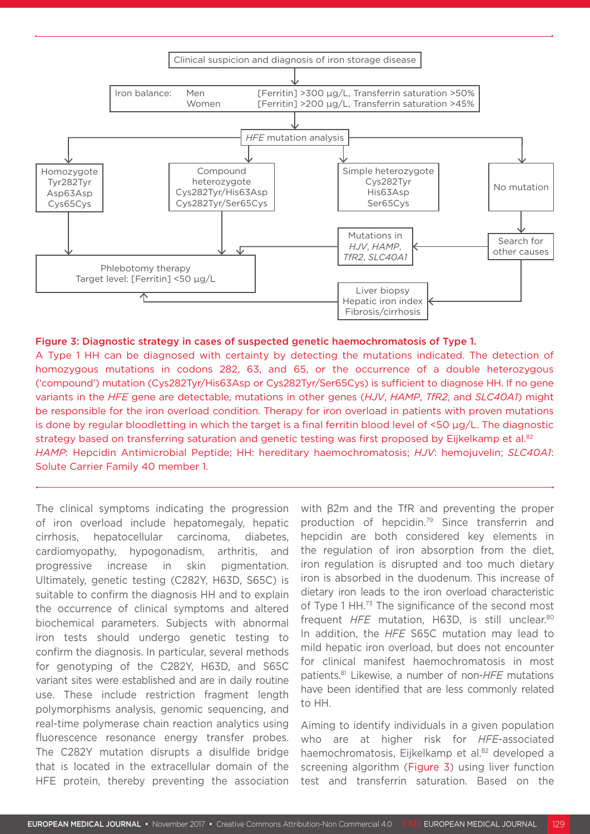

#### Figure 3: Diagnostic strategy in cases of suspected genetic haemochromatosis of Type 1.

A Type 1 HH can be diagnosed with certainty by detecting the mutations indicated. The detection of homozygous mutations in codons 282, 63, and 65, or the occurrence of a double heterozygous ('compound') mutation (Cys282Tyr/His63Asp or Cys282Tyr/Ser65Cys) is sufficient to diagnose HH. If no gene variants in the *HFE* gene are detectable, mutations in other genes (*HJV*, *HAMP*, *TfR2*, and *SLC40A1*) might be responsible for the iron overload condition. Therapy for iron overload in patients with proven mutations is done by regular bloodletting in which the target is a final ferritin blood level of  $\leq 50 \mu g/L$ . The diagnostic strategy based on transferring saturation and genetic testing was first proposed by Eijkelkamp et al.<sup>82</sup> *HAMP*: Hepcidin Antimicrobial Peptide; HH: hereditary haemochromatosis; *HJV*: hemojuvelin; *SLC40A1*: Solute Carrier Family 40 member 1.

The clinical symptoms indicating the progression of iron overload include hepatomegaly, hepatic cirrhosis, hepatocellular carcinoma, diabetes, cardiomyopathy, hypogonadism, arthritis, and progressive increase in skin pigmentation. Ultimately, genetic testing (C282Y, H63D, S65C) is suitable to confirm the diagnosis HH and to explain the occurrence of clinical symptoms and altered biochemical parameters. Subjects with abnormal iron tests should undergo genetic testing to confirm the diagnosis. In particular, several methods for genotyping of the C282Y, H63D, and S65C variant sites were established and are in daily routine use. These include restriction fragment length polymorphisms analysis, genomic sequencing, and real-time polymerase chain reaction analytics using fluorescence resonance energy transfer probes. The C282Y mutation disrupts a disulfide bridge that is located in the extracellular domain of the HFE protein, thereby preventing the association

with β2m and the TfR and preventing the proper production of hepcidin.79 Since transferrin and hepcidin are both considered key elements in the regulation of iron absorption from the diet, iron regulation is disrupted and too much dietary iron is absorbed in the duodenum. This increase of dietary iron leads to the iron overload characteristic of Type 1 HH.73 The significance of the second most frequent *HFE* mutation, H63D, is still unclear.80 In addition, the *HFE* S65C mutation may lead to mild hepatic iron overload, but does not encounter for clinical manifest haemochromatosis in most patients.81 Likewise, a number of non-*HFE* mutations have been identified that are less commonly related to HH.

Aiming to identify individuals in a given population who are at higher risk for *HFE*-associated haemochromatosis, Eijkelkamp et al.<sup>82</sup> developed a screening algorithm (Figure 3) using liver function test and transferrin saturation. Based on the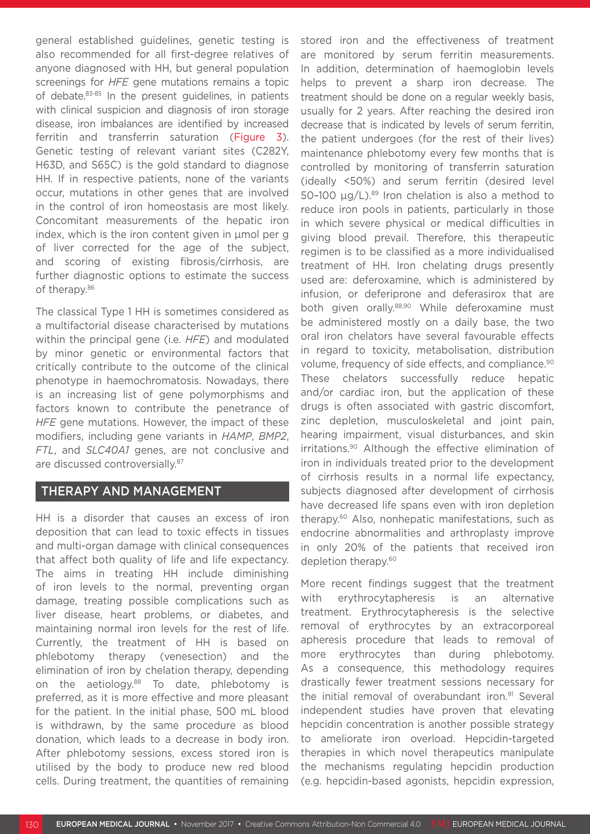general established guidelines, genetic testing is also recommended for all first-degree relatives of anyone diagnosed with HH, but general population screenings for *HFE* gene mutations remains a topic of debate.83-85 In the present guidelines, in patients with clinical suspicion and diagnosis of iron storage disease, iron imbalances are identified by increased ferritin and transferrin saturation (Figure 3). Genetic testing of relevant variant sites (C282Y, H63D, and S65C) is the gold standard to diagnose HH. If in respective patients, none of the variants occur, mutations in other genes that are involved in the control of iron homeostasis are most likely. Concomitant measurements of the hepatic iron index, which is the iron content given in µmol per g of liver corrected for the age of the subject, and scoring of existing fibrosis/cirrhosis, are further diagnostic options to estimate the success of therapy.<sup>86</sup>

The classical Type 1 HH is sometimes considered as a multifactorial disease characterised by mutations within the principal gene (i.e. *HFE*) and modulated by minor genetic or environmental factors that critically contribute to the outcome of the clinical phenotype in haemochromatosis. Nowadays, there is an increasing list of gene polymorphisms and factors known to contribute the penetrance of *HFE* gene mutations. However, the impact of these modifiers, including gene variants in *HAMP*, *BMP2*, *FTL*, and *SLC40A1* genes, are not conclusive and are discussed controversially.87

### THERAPY AND MANAGEMENT

HH is a disorder that causes an excess of iron deposition that can lead to toxic effects in tissues and multi-organ damage with clinical consequences that affect both quality of life and life expectancy. The aims in treating HH include diminishing of iron levels to the normal, preventing organ damage, treating possible complications such as liver disease, heart problems, or diabetes, and maintaining normal iron levels for the rest of life. Currently, the treatment of HH is based on phlebotomy therapy (venesection) and the elimination of iron by chelation therapy, depending on the aetiology.<sup>88</sup> To date, phlebotomy is preferred, as it is more effective and more pleasant for the patient. In the initial phase, 500 mL blood is withdrawn, by the same procedure as blood donation, which leads to a decrease in body iron. After phlebotomy sessions, excess stored iron is utilised by the body to produce new red blood cells. During treatment, the quantities of remaining

stored iron and the effectiveness of treatment are monitored by serum ferritin measurements. In addition, determination of haemoglobin levels helps to prevent a sharp iron decrease. The treatment should be done on a regular weekly basis, usually for 2 years. After reaching the desired iron decrease that is indicated by levels of serum ferritin, the patient undergoes (for the rest of their lives) maintenance phlebotomy every few months that is controlled by monitoring of transferrin saturation (ideally <50%) and serum ferritin (desired level 50–100 μg/L).89 Iron chelation is also a method to reduce iron pools in patients, particularly in those in which severe physical or medical difficulties in giving blood prevail. Therefore, this therapeutic regimen is to be classified as a more individualised treatment of HH. Iron chelating drugs presently used are: deferoxamine, which is administered by infusion, or deferiprone and deferasirox that are both given orally.<sup>88,90</sup> While deferoxamine must be administered mostly on a daily base, the two oral iron chelators have several favourable effects in regard to toxicity, metabolisation, distribution volume, frequency of side effects, and compliance.<sup>90</sup> These chelators successfully reduce hepatic and/or cardiac iron, but the application of these drugs is often associated with gastric discomfort, zinc depletion, musculoskeletal and joint pain, hearing impairment, visual disturbances, and skin irritations.90 Although the effective elimination of iron in individuals treated prior to the development of cirrhosis results in a normal life expectancy, subjects diagnosed after development of cirrhosis have decreased life spans even with iron depletion therapy.60 Also, nonhepatic manifestations, such as endocrine abnormalities and arthroplasty improve in only 20% of the patients that received iron depletion therapy.<sup>60</sup>

More recent findings suggest that the treatment with erythrocytapheresis is an alternative treatment. Erythrocytapheresis is the selective removal of erythrocytes by an extracorporeal apheresis procedure that leads to removal of more erythrocytes than during phlebotomy. As a consequence, this methodology requires drastically fewer treatment sessions necessary for the initial removal of overabundant iron.<sup>91</sup> Several independent studies have proven that elevating hepcidin concentration is another possible strategy to ameliorate iron overload. Hepcidin-targeted therapies in which novel therapeutics manipulate the mechanisms regulating hepcidin production (e.g. hepcidin-based agonists, hepcidin expression,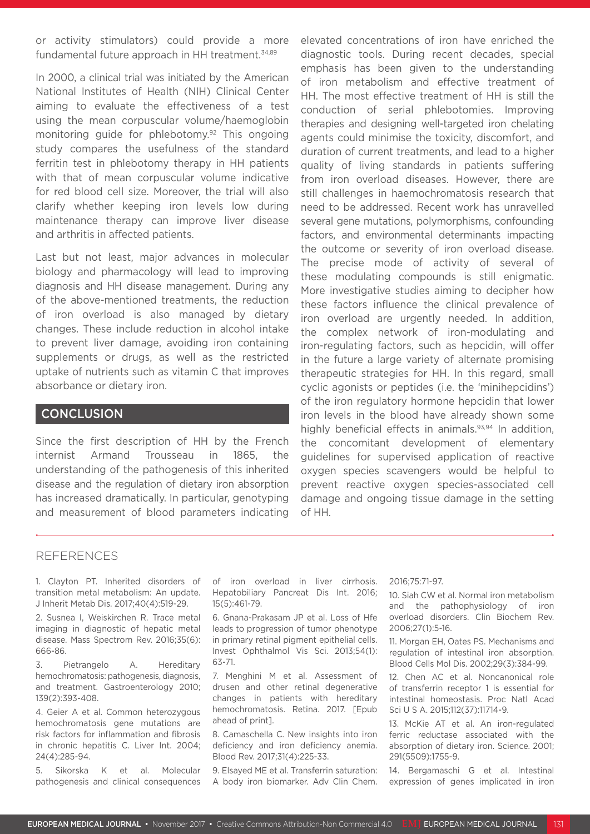or activity stimulators) could provide a more fundamental future approach in HH treatment.34,89

In 2000, a clinical trial was initiated by the American National Institutes of Health (NIH) Clinical Center aiming to evaluate the effectiveness of a test using the mean corpuscular volume/haemoglobin monitoring guide for phlebotomy.92 This ongoing study compares the usefulness of the standard ferritin test in phlebotomy therapy in HH patients with that of mean corpuscular volume indicative for red blood cell size. Moreover, the trial will also clarify whether keeping iron levels low during maintenance therapy can improve liver disease and arthritis in affected patients.

Last but not least, major advances in molecular biology and pharmacology will lead to improving diagnosis and HH disease management. During any of the above-mentioned treatments, the reduction of iron overload is also managed by dietary changes. These include reduction in alcohol intake to prevent liver damage, avoiding iron containing supplements or drugs, as well as the restricted uptake of nutrients such as vitamin C that improves absorbance or dietary iron.

### **CONCLUSION**

Since the first description of HH by the French internist Armand Trousseau in 1865, the understanding of the pathogenesis of this inherited disease and the regulation of dietary iron absorption has increased dramatically. In particular, genotyping and measurement of blood parameters indicating elevated concentrations of iron have enriched the diagnostic tools. During recent decades, special emphasis has been given to the understanding of iron metabolism and effective treatment of HH. The most effective treatment of HH is still the conduction of serial phlebotomies. Improving therapies and designing well-targeted iron chelating agents could minimise the toxicity, discomfort, and duration of current treatments, and lead to a higher quality of living standards in patients suffering from iron overload diseases. However, there are still challenges in haemochromatosis research that need to be addressed. Recent work has unravelled several gene mutations, polymorphisms, confounding factors, and environmental determinants impacting the outcome or severity of iron overload disease. The precise mode of activity of several of these modulating compounds is still enigmatic. More investigative studies aiming to decipher how these factors influence the clinical prevalence of iron overload are urgently needed. In addition, the complex network of iron-modulating and iron-regulating factors, such as hepcidin, will offer in the future a large variety of alternate promising therapeutic strategies for HH. In this regard, small cyclic agonists or peptides (i.e. the 'minihepcidins') of the iron regulatory hormone hepcidin that lower iron levels in the blood have already shown some highly beneficial effects in animals.<sup>93,94</sup> In addition, the concomitant development of elementary guidelines for supervised application of reactive oxygen species scavengers would be helpful to prevent reactive oxygen species-associated cell damage and ongoing tissue damage in the setting of HH.

#### REFERENCES

1. Clayton PT. Inherited disorders of transition metal metabolism: An update. J Inherit Metab Dis. 2017;40(4):519-29.

2. Susnea I, Weiskirchen R. Trace metal imaging in diagnostic of hepatic metal disease. Mass Spectrom Rev. 2016;35(6): 666-86.

3. Pietrangelo A. Hereditary hemochromatosis: pathogenesis, diagnosis, and treatment. Gastroenterology 2010; 139(2):393-408.

4. Geier A et al. Common heterozygous hemochromatosis gene mutations are risk factors for inflammation and fibrosis in chronic hepatitis C. Liver Int. 2004; 24(4):285-94.

5. Sikorska K et al. Molecular pathogenesis and clinical consequences of iron overload in liver cirrhosis. Hepatobiliary Pancreat Dis Int. 2016; 15(5):461-79.

6. Gnana-Prakasam JP et al. Loss of Hfe leads to progression of tumor phenotype in primary retinal pigment epithelial cells. Invest Ophthalmol Vis Sci. 2013;54(1): 63-71.

7. Menghini M et al. Assessment of drusen and other retinal degenerative changes in patients with hereditary hemochromatosis. Retina. 2017. [Epub ahead of print].

8. Camaschella C. New insights into iron deficiency and iron deficiency anemia. Blood Rev. 2017;31(4):225-33.

9. Elsayed ME et al. Transferrin saturation: A body iron biomarker. Adv Clin Chem.

#### 2016;75:71-97.

10. Siah CW et al. Normal iron metabolism and the pathophysiology of iron overload disorders. Clin Biochem Rev. 2006;27(1):5-16.

11. Morgan EH, Oates PS. Mechanisms and regulation of intestinal iron absorption. Blood Cells Mol Dis. 2002;29(3):384-99.

12. Chen AC et al. Noncanonical role of transferrin receptor 1 is essential for intestinal homeostasis. Proc Natl Acad Sci U S A. 2015;112(37):11714-9.

13. McKie AT et al. An iron-regulated ferric reductase associated with the absorption of dietary iron. Science. 2001; 291(5509):1755-9.

14. Bergamaschi G et al. Intestinal expression of genes implicated in iron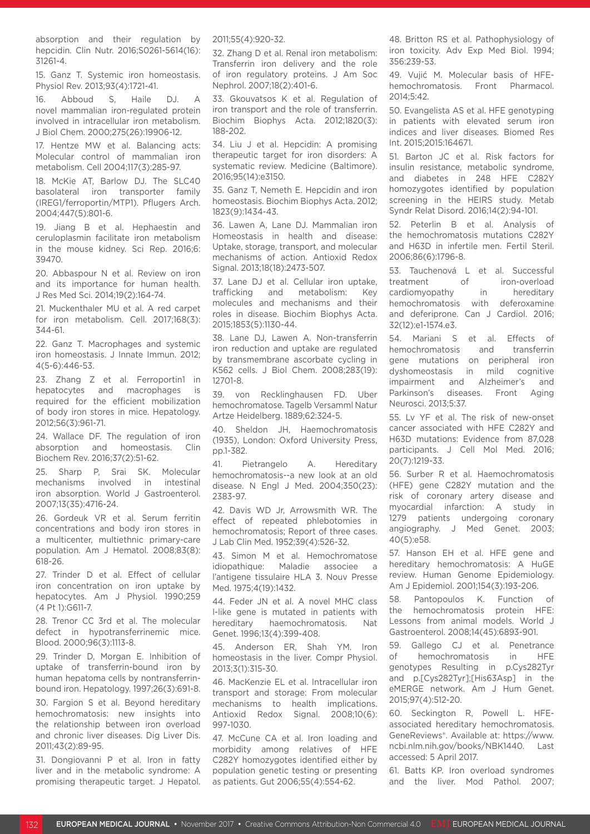absorption and their regulation by hepcidin. Clin Nutr. 2016;S0261-5614(16): 31261-4.

15. Ganz T. Systemic iron homeostasis. Physiol Rev. 2013;93(4):1721-41.

16. Abboud S, Haile DJ. A novel mammalian iron-regulated protein involved in intracellular iron metabolism. J Biol Chem. 2000;275(26):19906-12.

17. Hentze MW et al. Balancing acts: Molecular control of mammalian iron metabolism. Cell 2004;117(3):285-97.

18. McKie AT, Barlow DJ. The SLC40 basolateral iron transporter family (IREG1/ferroportin/MTP1). Pflugers Arch. 2004;447(5):801-6.

19. Jiang B et al. Hephaestin and ceruloplasmin facilitate iron metabolism in the mouse kidney. Sci Rep. 2016;6: 39470.

20. Abbaspour N et al. Review on iron and its importance for human health. J Res Med Sci. 2014;19(2):164-74.

21. Muckenthaler MU et al. A red carpet for iron metabolism. Cell. 2017;168(3): 344-61.

22. Ganz T. Macrophages and systemic iron homeostasis. J Innate Immun. 2012; 4(5-6):446-53.

23. Zhang Z et al. Ferroportin1 in hepatocytes and macrophages is required for the efficient mobilization of body iron stores in mice. Hepatology. 2012;56(3):961-71.

24. Wallace DF. The regulation of iron absorption and homeostasis. Clin Biochem Rev. 2016;37(2):51-62.

25. Sharp P, Srai SK. Molecular mechanisms involved in intestinal iron absorption. World J Gastroenterol. 2007;13(35):4716-24.

26. Gordeuk VR et al. Serum ferritin concentrations and body iron stores in a multicenter, multiethnic primary-care population. Am J Hematol. 2008;83(8): 618-26.

27. Trinder D et al. Effect of cellular iron concentration on iron uptake by hepatocytes. Am J Physiol. 1990;259 (4 Pt 1):G611-7.

28. Trenor CC 3rd et al. The molecular defect in hypotransferrinemic mice. Blood. 2000;96(3):1113-8.

29. Trinder D, Morgan E. Inhibition of uptake of transferrin-bound iron by human hepatoma cells by nontransferrinbound iron. Hepatology. 1997;26(3):691-8.

30. Fargion S et al. Beyond hereditary hemochromatosis: new insights into the relationship between iron overload and chronic liver diseases. Dig Liver Dis. 2011;43(2):89-95.

31. Dongiovanni P et al. Iron in fatty liver and in the metabolic syndrome: A promising therapeutic target. J Hepatol. 2011;55(4):920-32.

32. Zhang D et al. Renal iron metabolism: Transferrin iron delivery and the role of iron regulatory proteins. J Am Soc Nephrol. 2007;18(2):401-6.

33. Gkouvatsos K et al. Regulation of iron transport and the role of transferrin. Biochim Biophys Acta. 2012;1820(3): 188-202.

34. Liu J et al. Hepcidin: A promising therapeutic target for iron disorders: A systematic review. Medicine (Baltimore). 2016;95(14):e3150.

35. Ganz T, Nemeth E. Hepcidin and iron homeostasis. Biochim Biophys Acta. 2012; 1823(9):1434-43.

36. Lawen A, Lane DJ. Mammalian iron Homeostasis in health and disease: Uptake, storage, transport, and molecular mechanisms of action. Antioxid Redox Signal. 2013;18(18):2473-507.

37. Lane DJ et al. Cellular iron uptake, trafficking and metabolism: Key molecules and mechanisms and their roles in disease. Biochim Biophys Acta. 2015;1853(5):1130-44.

38. Lane DJ, Lawen A. Non-transferrin iron reduction and uptake are regulated by transmembrane ascorbate cycling in K562 cells. J Biol Chem. 2008;283(19): 12701-8.

39. von Recklinghausen FD. Uber hemochromatose. Tagelb Versamml Natur Artze Heidelberg. 1889;62:324-5.

40. Sheldon JH, Haemochromatosis (1935), London: Oxford University Press, pp.1-382.

41. Pietrangelo A. Hereditary hemochromatosis--a new look at an old disease. N Engl J Med. 2004;350(23): 2383-97.

42. Davis WD Jr, Arrowsmith WR. The effect of repeated phlebotomies in hemochromatosis; Report of three cases. J Lab Clin Med. 1952;39(4):526-32.

43. Simon M et al. Hemochromatose idiopathique: Maladie associee a l'antigene tissulaire HLA 3. Nouv Presse Med. 1975;4(19):1432.

44. Feder JN et al. A novel MHC class I-like gene is mutated in patients with hereditary haemochromatosis. Nat Genet. 1996;13(4):399-408.

45. Anderson ER, Shah YM. Iron homeostasis in the liver. Compr Physiol. 2013;3(1):315-30.

46. MacKenzie EL et al. Intracellular iron transport and storage: From molecular mechanisms to health implications. Antioxid Redox Signal. 2008;10(6): 997-1030.

47. McCune CA et al. Iron loading and morbidity among relatives of HFE C282Y homozygotes identified either by population genetic testing or presenting as patients. Gut 2006;55(4):554-62.

48. Britton RS et al. Pathophysiology of iron toxicity. Adv Exp Med Biol. 1994; 356:239-53.

49. Vujić M. Molecular basis of HFEhemochromatosis. Front Pharmacol.  $2014.542$ 

50. Evangelista AS et al. HFE genotyping in patients with elevated serum iron indices and liver diseases. Biomed Res Int. 2015;2015:164671.

51. Barton JC et al. Risk factors for insulin resistance, metabolic syndrome, and diabetes in 248 HFE C282Y homozygotes identified by population screening in the HEIRS study. Metab Syndr Relat Disord. 2016;14(2):94-101.

52. Peterlin B et al. Analysis of the hemochromatosis mutations C282Y and H63D in infertile men. Fertil Steril. 2006;86(6):1796-8.

53. Tauchenová L et al. Successful treatment of iron-overload cardiomyopathy in hereditary hemochromatosis with deferoxamine and deferiprone. Can J Cardiol. 2016; 32(12):e1-1574.e3.

54. Mariani S et al. Effects of hemochromatosis and transferrin gene mutations on peripheral iron dyshomeostasis in mild cognitive impairment and Alzheimer's and Parkinson's diseases. Front Aging Neurosci. 2013;5:37.

55. Lv YF et al. The risk of new-onset cancer associated with HFE C282Y and H63D mutations: Evidence from 87,028 participants. J Cell Mol Med. 2016; 20(7):1219-33.

56. Surber R et al. Haemochromatosis (HFE) gene C282Y mutation and the risk of coronary artery disease and myocardial infarction: A study in 1279 patients undergoing coronary angiography. J Med Genet. 2003; 40(5):e58.

57. Hanson EH et al. HFE gene and hereditary hemochromatosis: A HuGE review. Human Genome Epidemiology. Am J Epidemiol. 2001;154(3):193-206.

58. Pantopoulos K. Function of the hemochromatosis protein HFE: Lessons from animal models. World J Gastroenterol. 2008;14(45):6893-901.

59. Gallego CJ et al. Penetrance of hemochromatosis in HFE genotypes Resulting in p.Cys282Tyr and p.[Cys282Tyr];[His63Asp] in the eMERGE network. Am J Hum Genet. 2015;97(4):512-20.

60. Seckington R, Powell L. HFEassociated hereditary hemochromatosis. GeneReviews®. Available at: https://www. ncbi.nlm.nih.gov/books/NBK1440. Last accessed: 5 April 2017.

61. Batts KP. Iron overload syndromes and the liver. Mod Pathol. 2007;